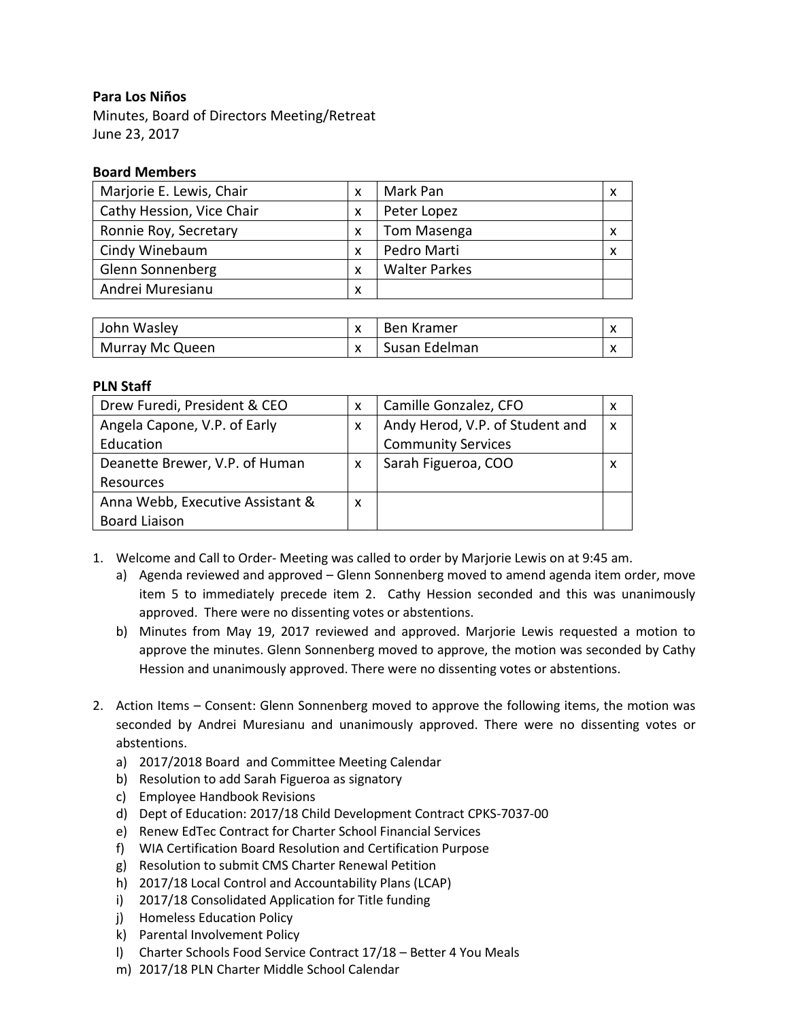## **Para Los Niños**

Minutes, Board of Directors Meeting/Retreat June 23, 2017

## **Board Members**

| Marjorie E. Lewis, Chair  | X | Mark Pan             | X |
|---------------------------|---|----------------------|---|
| Cathy Hession, Vice Chair | X | Peter Lopez          |   |
| Ronnie Roy, Secretary     | x | Tom Masenga          | X |
| Cindy Winebaum            | X | Pedro Marti          | X |
| <b>Glenn Sonnenberg</b>   | X | <b>Walter Parkes</b> |   |
| Andrei Muresianu          | X |                      |   |

| John Wasley     | Ben Kramer    |  |
|-----------------|---------------|--|
| Murray Mc Queen | Susan Edelman |  |

## **PLN Staff**

| Drew Furedi, President & CEO     | X | Camille Gonzalez, CFO           | x |
|----------------------------------|---|---------------------------------|---|
| Angela Capone, V.P. of Early     | X | Andy Herod, V.P. of Student and | X |
| Education                        |   | <b>Community Services</b>       |   |
| Deanette Brewer, V.P. of Human   | X | Sarah Figueroa, COO             | x |
| Resources                        |   |                                 |   |
| Anna Webb, Executive Assistant & | X |                                 |   |
| <b>Board Liaison</b>             |   |                                 |   |

- 1. Welcome and Call to Order- Meeting was called to order by Marjorie Lewis on at 9:45 am.
	- a) Agenda reviewed and approved Glenn Sonnenberg moved to amend agenda item order, move item 5 to immediately precede item 2. Cathy Hession seconded and this was unanimously approved. There were no dissenting votes or abstentions.
	- b) Minutes from May 19, 2017 reviewed and approved. Marjorie Lewis requested a motion to approve the minutes. Glenn Sonnenberg moved to approve, the motion was seconded by Cathy Hession and unanimously approved. There were no dissenting votes or abstentions.
- 2. Action Items Consent: Glenn Sonnenberg moved to approve the following items, the motion was seconded by Andrei Muresianu and unanimously approved. There were no dissenting votes or abstentions.
	- a) 2017/2018 Board and Committee Meeting Calendar
	- b) Resolution to add Sarah Figueroa as signatory
	- c) Employee Handbook Revisions
	- d) Dept of Education: 2017/18 Child Development Contract CPKS-7037-00
	- e) Renew EdTec Contract for Charter School Financial Services
	- f) WIA Certification Board Resolution and Certification Purpose
	- g) Resolution to submit CMS Charter Renewal Petition
	- h) 2017/18 Local Control and Accountability Plans (LCAP)
	- i) 2017/18 Consolidated Application for Title funding
	- j) Homeless Education Policy
	- k) Parental Involvement Policy
	- l) Charter Schools Food Service Contract 17/18 Better 4 You Meals
	- m) 2017/18 PLN Charter Middle School Calendar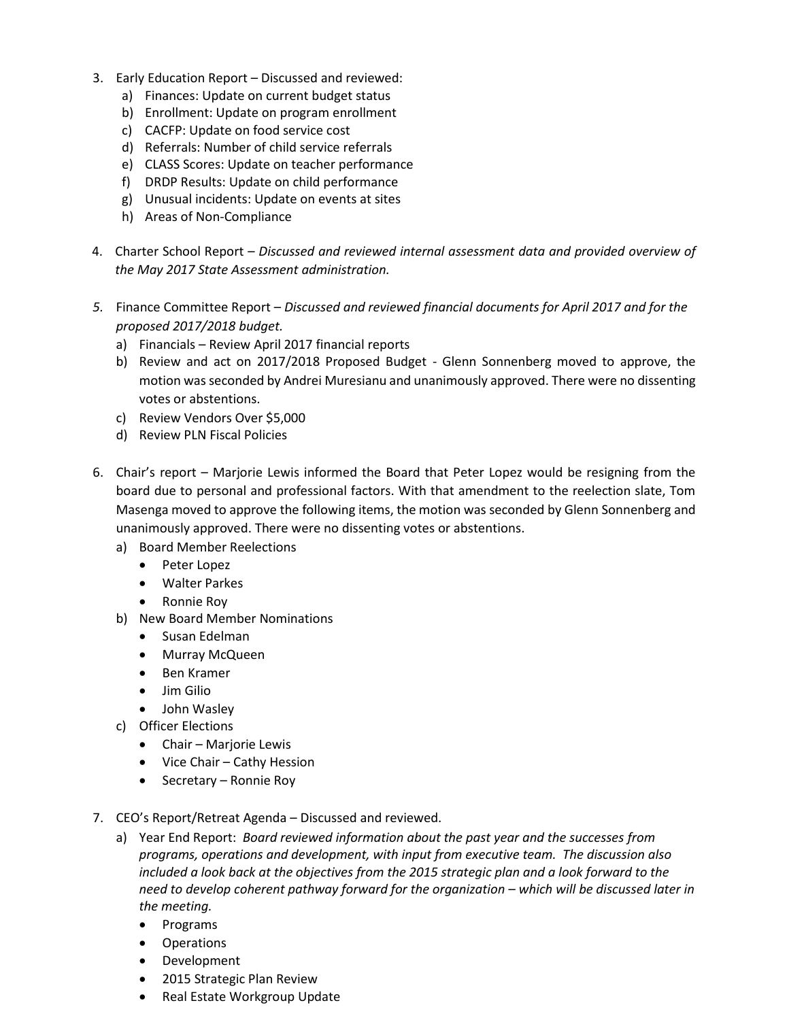- 3. Early Education Report Discussed and reviewed:
	- a) Finances: Update on current budget status
	- b) Enrollment: Update on program enrollment
	- c) CACFP: Update on food service cost
	- d) Referrals: Number of child service referrals
	- e) CLASS Scores: Update on teacher performance
	- f) DRDP Results: Update on child performance
	- g) Unusual incidents: Update on events at sites
	- h) Areas of Non-Compliance
- 4. Charter School Report *Discussed and reviewed internal assessment data and provided overview of the May 2017 State Assessment administration.*
- *5.* Finance Committee Report *Discussed and reviewed financial documents for April 2017 and for the proposed 2017/2018 budget.*
	- a) Financials Review April 2017 financial reports
	- b) Review and act on 2017/2018 Proposed Budget Glenn Sonnenberg moved to approve, the motion was seconded by Andrei Muresianu and unanimously approved. There were no dissenting votes or abstentions.
	- c) Review Vendors Over \$5,000
	- d) Review PLN Fiscal Policies
- 6. Chair's report Marjorie Lewis informed the Board that Peter Lopez would be resigning from the board due to personal and professional factors. With that amendment to the reelection slate, Tom Masenga moved to approve the following items, the motion was seconded by Glenn Sonnenberg and unanimously approved. There were no dissenting votes or abstentions.
	- a) Board Member Reelections
		- Peter Lopez
		- Walter Parkes
		- Ronnie Roy
	- b) New Board Member Nominations
		- **•** Susan Edelman
		- Murray McQueen
		- Ben Kramer
		- $\bullet$  Jim Gilio
		- John Wasley
	- c) Officer Elections
		- Chair Marjorie Lewis
		- Vice Chair Cathy Hession
		- Secretary Ronnie Roy
- 7. CEO's Report/Retreat Agenda Discussed and reviewed.
	- a) Year End Report: *Board reviewed information about the past year and the successes from programs, operations and development, with input from executive team. The discussion also included a look back at the objectives from the 2015 strategic plan and a look forward to the need to develop coherent pathway forward for the organization – which will be discussed later in the meeting.*
		- Programs
		- Operations
		- Development
		- 2015 Strategic Plan Review
		- Real Estate Workgroup Update